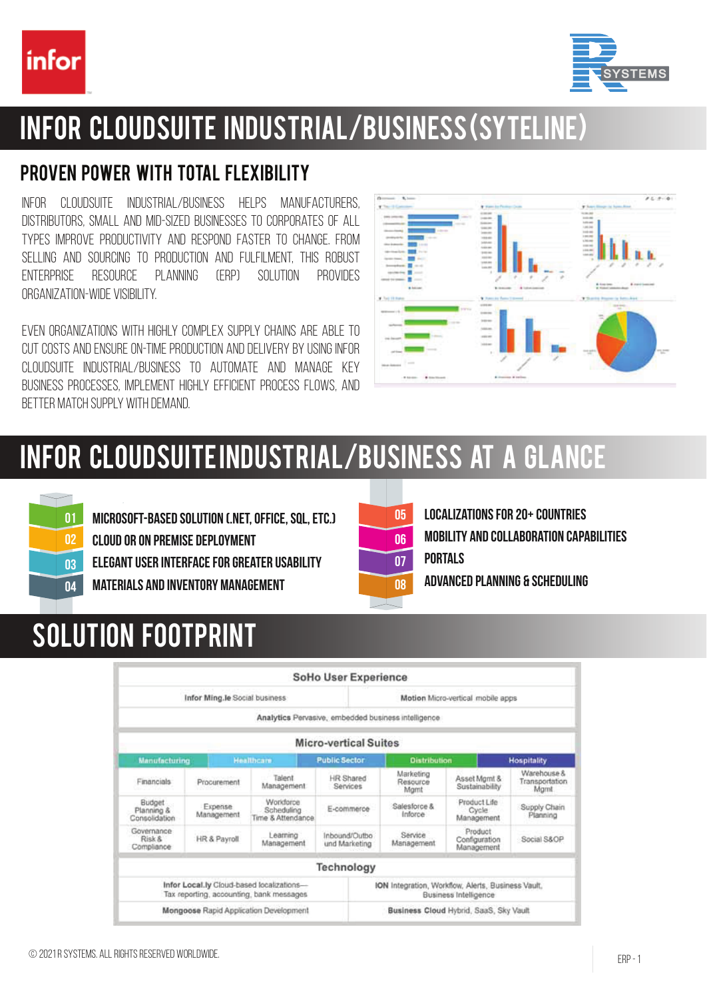



### Infor CloudSuite Industrial/Business (SyteLine)

### Proven power with total flexibility

Infor CloudSuite Industrial/Business helps manufacturers, distributors, small and mid-sized businesses to corporates of all types improve productivity and respond faster to change. From selling and sourcing to production and fulfilment, this robust enterprise resource planning (ERP) solution provides organization-wide visibility.

Even organizations with highly complex supply chains are able to CUT COSTS AND ENSURE ON-TIME PRODUCTION AND DELIVERY BY USING INFOR CLOUDSUITE INDUSTRIAL/BUSINESS TO AUTOMATE AND MANAGE KEY business processes, implement highly efficient process flows, and better match supply with demand.



# Infor CloudSuite Industrial/Business at a glance



Microsoft-based solution (.Net, Office, SQL, etc.)

Cloud or on premise deployment

Elegant user interface for greater usability

Materials and inventory management



Localizations for 20+ countries Mobility and collaboration capabilities **PORTALS** 

Advanced Planning & Scheduling

# Solution footprint

|                                       |                                        |                                                                                       | SoHo User Experience                                                        |                                        |                                        |                                       |  |
|---------------------------------------|----------------------------------------|---------------------------------------------------------------------------------------|-----------------------------------------------------------------------------|----------------------------------------|----------------------------------------|---------------------------------------|--|
|                                       | Infor Ming.le Social business          |                                                                                       | Motion Micro-vertical mobile apps                                           |                                        |                                        |                                       |  |
|                                       |                                        |                                                                                       | Analytics Pervasive, embedded business intelligence.                        |                                        |                                        |                                       |  |
|                                       |                                        |                                                                                       | <b>Micro-vertical Suites</b>                                                |                                        |                                        |                                       |  |
| <b>Manufacturing</b>                  |                                        | <b>Healthcare</b>                                                                     | <b>Public Sector</b>                                                        |                                        | <b>Distribution</b>                    |                                       |  |
| Financials                            | Procurement                            | Talent<br>Management                                                                  | HR Shared<br>Services                                                       | Marketing<br>Resource<br>Mamt          | Asset Mamt &<br>Sustainability         | Warehouse &<br>Transportation<br>Mamt |  |
| Budget<br>Planning &<br>Consolidation | Expense<br>Management                  | Workforce<br>Scheduling<br>Time & Attendance                                          | E-commerce                                                                  | Salesforce &<br>Inforce                | Product Life<br>Cycle<br>Management    | Supply Chain<br>Planning              |  |
| Governance<br>Risk &<br>Compliance    | Learning<br>HR & Payroll<br>Management |                                                                                       | Inbound/Outbo<br>und Marketing                                              | Service.<br>Management                 | Product<br>Configuration<br>Management | Social S&OP                           |  |
|                                       |                                        |                                                                                       | Technology                                                                  |                                        |                                        |                                       |  |
|                                       |                                        | Infor Local.ly Cloud-based localizations-<br>Tax reporting, accounting, bank messages | ION Integration, Workflow, Alerts, Business Vault,<br>Business Intelligence |                                        |                                        |                                       |  |
|                                       |                                        | Mongoose Rapid Application Development                                                |                                                                             | Business Cloud Hybrid, SaaS, Sky Vault |                                        |                                       |  |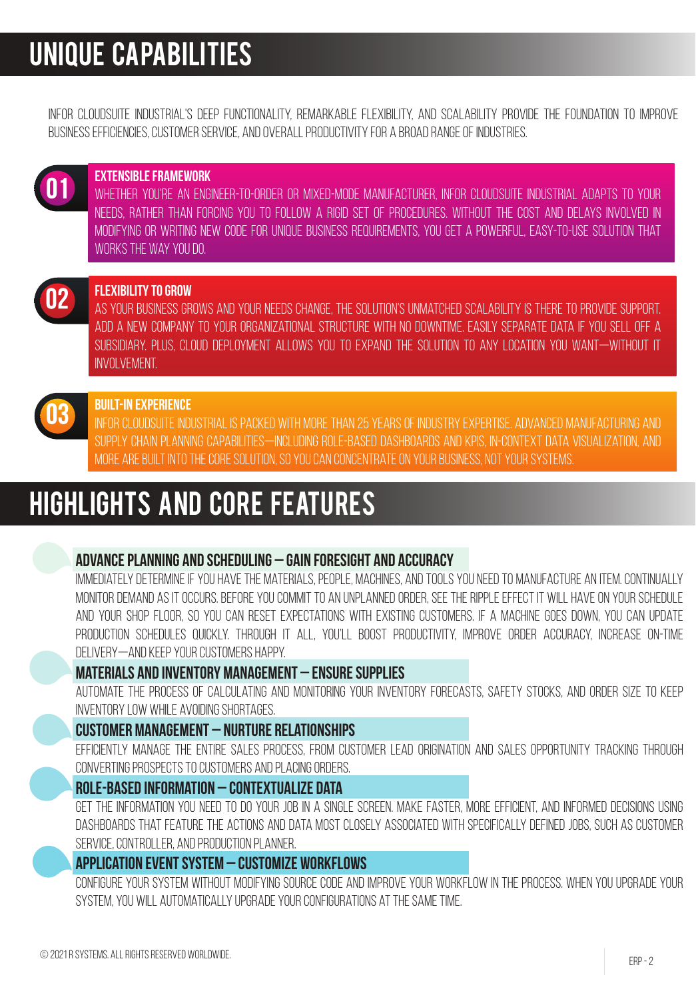### Unique capabilities

Infor CloudSuite Industrial's deep functionality, remarkable flexibility, and scalability provide the foundation to improve business efficiencies, customer service, and overall productivity for a broad range of industries.



#### Extensible framework

WHETHER YOU'RE AN ENGINEER-TO-ORDER OR MIXED-MODE MANUFACTURER, INFOR CLOUDSUITE INDUSTRIAL ADAPTS TO YOUR needs, rather than forcing you to follow a rigid set of procedures. Without the cost and delays involved in modifying or writing new code for unique business requirements, you get a powerful, easy-to-use solution that WORKS THE WAY YOU DO.



#### Flexibility to grow

As your business grows and your needs change, the solution's unmatched scalability is there to provide support. Add a new company to your organizational structure with no downtime. Easily separate data if you sell off a subsidiary. Plus, cloud deployment allows you to expand the solution to any location you want—without IT involvement.



#### Built-in experience

INFOR CLOUDSUITE INDUSTRIAL IS PACKED WITH MORE THAN 25 YEARS OF INDUSTRY EXPERTISE. ADVANCED MANUFACTURING AND supply chain planning capabilities—including role-based dashboards and KPIs, in-context data visualization, and more are built into the core solution, so you can concentrate on your business, not your systems.

### Highlights and core features

#### Advance planning and scheduling – Gain foresight and accuracy

IMMEDIATELY DETERMINE IF YOU HAVE THE MATERIALS, PEOPLE, MACHINES, AND TOOLS YOU NEED TO MANUFACTURE AN ITEM. CONTINUALLY MONITOR DEMAND AS IT OCCURS. BEFORE YOU COMMITTO AN UNPLANNED ORDER, SEE THE RIPPLE EFFECT IT WILL HAVE ON YOUR SCHEDULE and your shop floor, so you can reset expectations with existing customers. If a machine goes down, you can update production schedules quickly. Through it all, you'll boost productivity, improve order accuracy, increase on-time delivery—and keep your customers happy.

#### Materials and inventory management – Ensure supplies

Automate the process of calculating and monitoring your inventory forecasts, safety stocks, and order size to keep inventory low while avoiding shortages.

#### Customer management – Nurture relationships

Efficiently manage the entire sales process, from customer lead origination and sales opportunity tracking through converting prospects to customers and placing orders.

#### Role-based information – Contextualize data

Get the information you need to do your job in a single screen. Make faster, more efficient, and informed decisions using dashboards that feature the actions and data most closely associated with specifically defined jobs, such as customer service, controller, and production planner.

#### Application event system – Customize workflows

Configure your system without modifying source code and improve your workflow in the process. When you upgrade your system, you will automatically upgrade your configurations at the same time.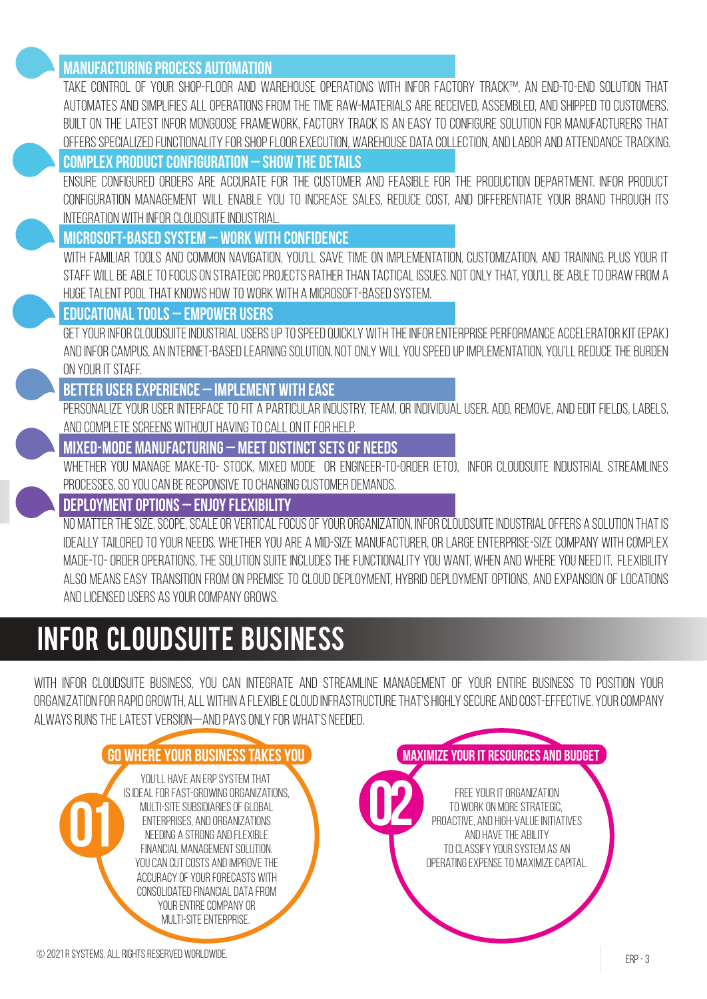#### **MANUFACTURING PROCESS AUTOMATION**

Take control of your Shop-Floor and Warehouse operations with Infor Factory Track™, an end-to-end solution that AUTOMATES AND SIMPLIFIES ALL OPERATIONS FROM THE TIME RAW-MATERIALS ARE RECEIVED, ASSEMBLED, AND SHIPPED TO CUSTOMERS. Built on the latest Infor Mongoose framework, Factory Track is an easy to configure solution for manufacturers that offers specialized functionality for shop floor execution, warehouse data collection, and labor and attendance tracking.

### Complex product configuration – Show the details

Ensure configured orders are accurate for the customer and feasible for the production department. Infor Product Configuration Management will enable you to increase sales, reduce cost, and differentiate your brand through its integration with Infor CloudSuite Industrial.

#### Microsoft-based system – Work with confidence

With familiar tools and common navigation, you'll save time on implementation, customization, and training. Plus your IT STAFF WILL BE ABLE TO FOCUS ON STRATEGIC PROJECTS RATHER THAN TACTICAL ISSUES. NOT ONLY THAT, YOU'LL BE ABLE TO DRAW FROM A huge talent pool that knows how to work with a Microsoft-based system.

#### Educational tools – Empower users

GET YOUR INFOR CLOUDSUITE INDUSTRIAL USERS UP TO SPEED QUICKLY WITH THE INFOR ENTERPRISE PERFORMANCE ACCELERATOR KIT (EPAK) AND INFOR CAMPUS, AN INTERNET-BASED LEARNING SOLUTION. NOT ONLY WILL YOU SPEED UP IMPLEMENTATION. YOU'LL REDUCE THE BURDEN on your IT staff.

#### Better user experience – Implement with ease

PERSONALIZE YOUR USER INTERFACE TO FIT A PARTICULAR INDUSTRY, TEAM, OR INDIVIDUAL USER, ADD, REMOVE, AND EDIT FIELDS, LABELS, and complete screens without having to call on IT for help.

#### Mixed-mode manufacturing – Meet distinct sets of needs

Whether you manage make-to- stock, mixed mode or engineer-to-order (ETO), Infor CloudSuite Industrial streamlines processes, so you can be responsive to changing customer demands.

#### Deployment options – Enjoy flexibility

NO MATTER THE SIZE, SCOPE, SCALE OR VERTICAL FOCUS OF YOUR ORGANIZATION, INFOR CLOUDSUITE INDUSTRIAL OFFERS A SOLUTION THAT IS IDEALLY TAILORED TO YOUR NEEDS. WHETHER YOU ARE A MID-SIZE MANUFACTURER, OR LARGE ENTERPRISE-SIZE COMPANY WITH COMPLEX MADE-TO-ORDER OPERATIONS, THE SOLUTION SUITE INCLUDES THE FUNCTIONALITY YOU WANT, WHEN AND WHERE YOU NEED IT. FLEXIBILITY also means easy transition from on premise to cloud deployment, hybrid deployment options, and expansion of locations and licensed users as your company grows.

### Infor CloudSuite Business

With Infor CloudSuite Business, you can integrate and streamline management of your entire business to position your organizationforrapidgrowth, allwithin a flexiblecloudinfrastructurethat'shighly secure andcost-effective. Yourcompany always runs the latest version—and pays only for what's needed.

### Go where your business takes you Maximize your IT resources and budget

YOU'LL HAVE AN ERP SYSTEM THAT is ideal for fast-growing organizations, multi-site subsidiaries of global enterprises, and organizations needing a strong and flexible FINANCIAL MANAGEMENT SOLUTION. YOU CAN CUT COSTS AND IMPROVE THE accuracy of your forecasts with consolidated financial data from your entire company or multi-site enterprise. YOU'LL HAVE AN ERP SYSTEM THAT<br>IS IDEAL FOR FAST-GROWING ORGANIZATIONS,<br>MULTI-SITE SUBSIDIARIES OF GLOBAL<br>ENTERPRISES, AND ORGANIZATIONS<br>FINANCIAL MANAGEMENT SOLUTION.

Free your IT organization to work on more strategic, proactive, and high-value initiatives and have the ability to classify your system as an operating expense to maximize capital.